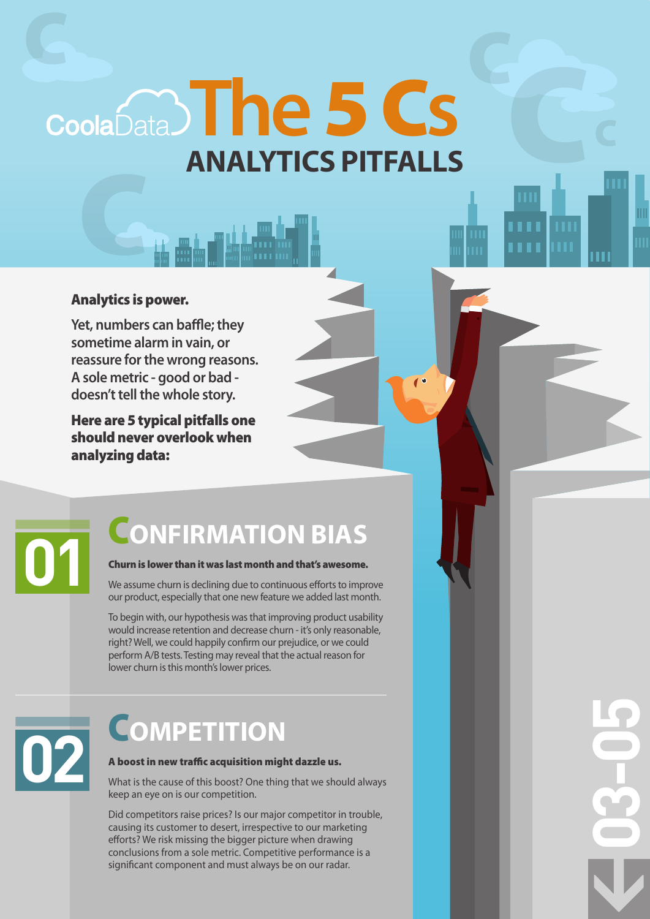**ANALYTICS PITFALLS** CoolaData) The 5 Cs

## Analytics is power.

**Yet, numbers can baffle; they** sometime alarm in vain, or reassure for the wrong reasons. A sole metric - good or bad doesn't tell the whole story.

Here are 5 typical pitfalls one should never overlook when analyzing data:

## **CONFIRMATION BIAS**

### Churn is lower than it was last month and that's awesome.

We assume churn is declining due to continuous efforts to improve our product, especially that one new feature we added last month.

To begin with, our hypothesis was that improving product usability would increase retention and decrease churn - it's only reasonable. right? Well, we could happily confirm our prejudice, or we could perform A/B tests. Testing may reveal that the actual reason for lower churn is this month's lower prices.

# **02**

## C**OMPETITION**

## A boost in new traffic acquisition might dazzle us.

What is the cause of this boost? One thing that we should always keep an eye on is our competition.

Did competitors raise prices? Is our major competitor in trouble, causing its customer to desert, irrespective to our marketing efforts? We risk missing the bigger picture when drawing conclusions from a sole metric. Competitive performance is a significant component and must always be on our radar.

**03-05**